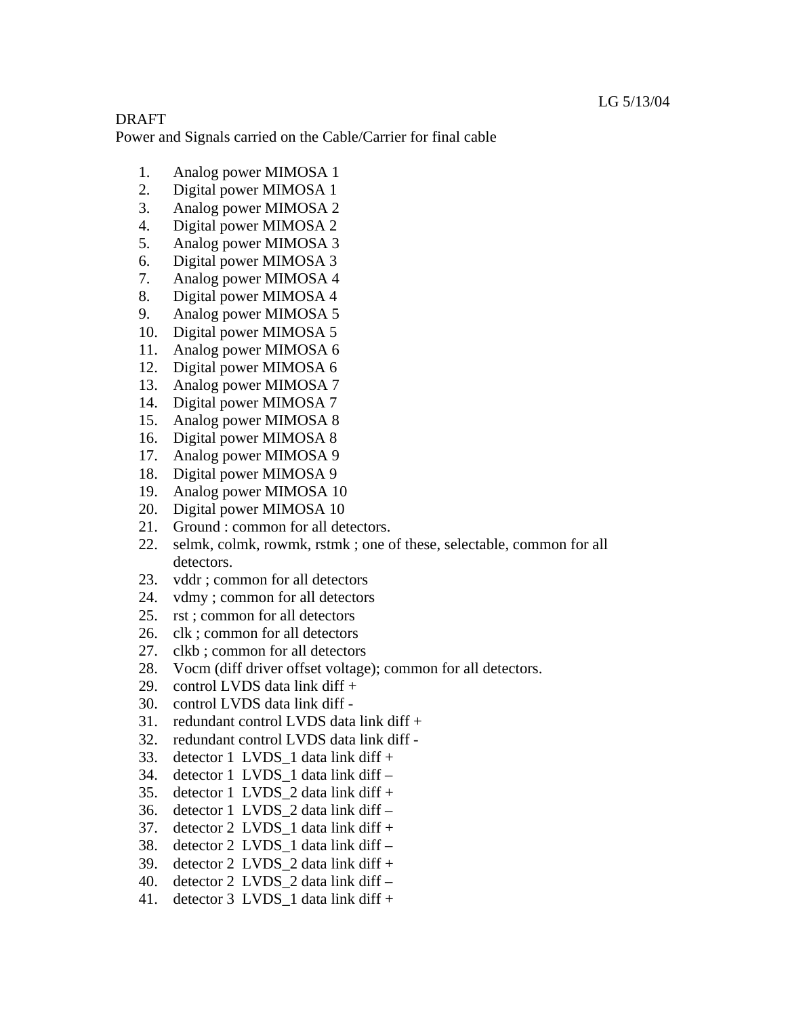## DRAFT

Power and Signals carried on the Cable/Carrier for final cable

- 1. Analog power MIMOSA 1
- 2. Digital power MIMOSA 1
- 3. Analog power MIMOSA 2
- 4. Digital power MIMOSA 2
- 5. Analog power MIMOSA 3
- 6. Digital power MIMOSA 3
- 7. Analog power MIMOSA 4
- 8. Digital power MIMOSA 4
- 9. Analog power MIMOSA 5
- 10. Digital power MIMOSA 5
- 11. Analog power MIMOSA 6
- 12. Digital power MIMOSA 6
- 13. Analog power MIMOSA 7
- 14. Digital power MIMOSA 7
- 15. Analog power MIMOSA 8
- 16. Digital power MIMOSA 8
- 17. Analog power MIMOSA 9
- 18. Digital power MIMOSA 9
- 19. Analog power MIMOSA 10
- 20. Digital power MIMOSA 10
- 21. Ground : common for all detectors.
- 22. selmk, colmk, rowmk, rstmk ; one of these, selectable, common for all detectors.
- 23. vddr ; common for all detectors
- 24. vdmy ; common for all detectors
- 25. rst ; common for all detectors
- 26. clk ; common for all detectors
- 27. clkb ; common for all detectors
- 28. Vocm (diff driver offset voltage); common for all detectors.
- 29. control LVDS data link diff  $+$
- 30. control LVDS data link diff -
- 31. redundant control LVDS data link diff  $+$
- 32. redundant control LVDS data link diff -
- 33. detector 1 LVDS 1 data link diff  $+$
- 34. detector 1 LVDS\_1 data link diff –
- 35. detector 1 LVDS  $2$  data link diff +
- 36. detector 1 LVDS\_2 data link diff –
- 37. detector 2 LVDS 1 data link diff  $+$
- 38. detector 2 LVDS\_1 data link diff –
- 39. detector 2 LVDS  $2$  data link diff +
- 40. detector 2 LVDS\_2 data link diff –
- 41. detector  $3$  LVDS\_1 data link diff +